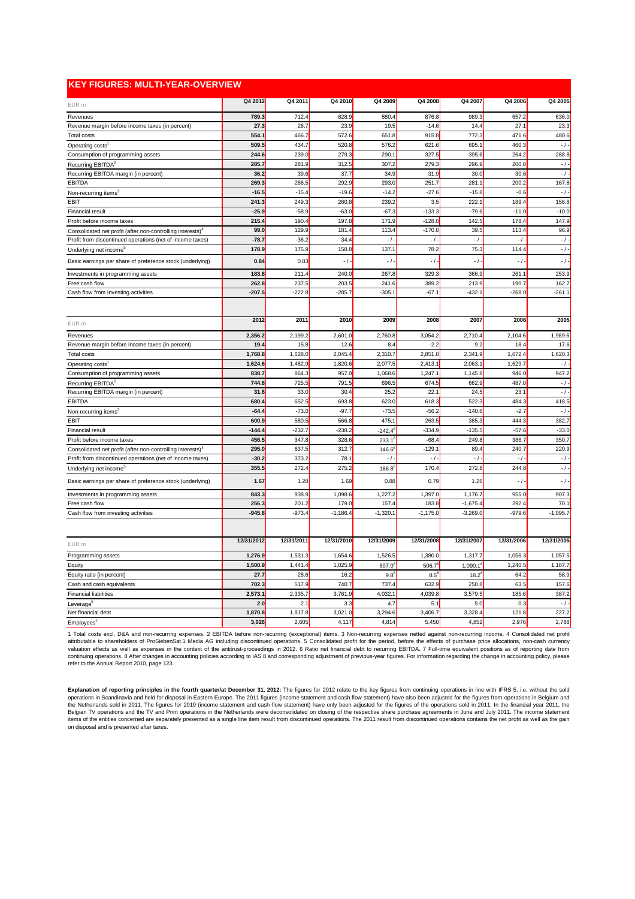| <b>KEY FIGURES: MULTI-YEAR-OVERVIEW</b>                                |            |            |            |                     |            |             |                      |            |
|------------------------------------------------------------------------|------------|------------|------------|---------------------|------------|-------------|----------------------|------------|
| EUR m                                                                  | Q4 2012    | Q4 2011    | Q4 2010    | Q4 2009             | Q4 2008    | Q4 2007     | Q4 2006              | Q4 2005    |
| Revenues                                                               | 789.3      | 712.4      | 828.9      | 880.4               | 876.8      | 989.3       | 657.2                | 636.0      |
| Revenue margin before income taxes (in percent)                        | 27.3       | 26.7       | 23.9       | 19.5                | $-14.6$    | 14.4        | 27.1                 | 23.3       |
| Total costs                                                            | 554.1      | 466.7      | 572.6      | 651.8               | 915.8      | 772.3       | 471.6                | 480.6      |
| Operating costs <sup>1</sup>                                           | 509.5      | 434.7      | 520.8      | 576.2               | 621.6      | 695.1       | 460.3                | $-$ / $-$  |
| Consumption of programming assets                                      | 244.6      | 239.0      | 279.3      | 290.1               | 327.5      | 395.6       | 264.2                | 288.8      |
| Recurring EBITDA <sup>2</sup>                                          | 285.7      | 281.9      | 312.5      | 307.2               | 279.3      | 296.9       | 200.8                | $-$ / $-$  |
| Recurring EBITDA margin (in percent)                                   | 36.2       | 39.6       | 37.7       | 34.9                | 31.9       | 30.0        | 30.6                 | $-$ / $-$  |
| <b>EBITDA</b>                                                          | 269.3      | 266.5      | 292.9      | 293.0               | 251.7      | 281.1       | 200.2                | 167.8      |
| Non-recurring items <sup>3</sup>                                       | $-16.5$    | $-15.4$    | $-19.6$    | $-14.2$             | $-27.6$    | $-15.8$     | -0.6                 | $-$ / $-$  |
| <b>EBIT</b>                                                            | 241.3      | 249.3      | 260.8      | 239.2               | 3.5        | 222.1       | 189.4                | 156.8      |
| <b>Financial result</b>                                                | $-25.9$    | $-58.9$    | $-63.0$    | $-67.3$             | $-133.3$   | $-79.6$     | $-11.0$              | $-10.0$    |
| Profit before income taxes                                             | 215.4      | 190.4      | 197.8      | 171.9               | $-128.0$   | 142.5       | 178.4                | 147.9      |
| Consolidated net profit (after non-controlling interests) <sup>4</sup> | 99.0       | 129.9      | 181.4      | 113.4               | $-170.0$   | 39.5        | 113.4                | 96.9       |
| Profit from discontinued operations (net of income taxes)              | $-78.7$    | $-36.2$    | 34.4       | $-$ / $-$           | $-1$ -     | $-1$ -      | $\frac{1}{\sqrt{2}}$ | $-$ / $-$  |
| Underlying net income <sup>5</sup>                                     | 178.9      | 175.9      | 158.8      | 137.1               | 78.2       | 75.3        | 114.4                | $-1$ -     |
| Basic earnings per share of preference stock (underlying)              | 0.84       | 0.83       | $-1$       | $-1$                | $-1$       | $-1$        | $\frac{1}{\sqrt{2}}$ | $-1$ -     |
| Investments in programming assets                                      | 183.8      | 211.4      | 240.0      | 267.8               | 329.3      | 366.9       | 261.1                | 253.9      |
| Free cash flow                                                         | 262.8      | 237.5      | 203.5      | 241.6               | 389.2      | 213.9       | 190.7                | 162.7      |
| Cash flow from investing activities                                    | $-207.5$   | $-222.8$   | $-285.7$   | $-305.1$            | $-67.1$    | $-432.1$    | $-268.0$             | $-261.1$   |
|                                                                        |            |            |            |                     |            |             |                      |            |
| EUR m                                                                  | 2012       | 2011       | 2010       | 2009                | 2008       | 2007        | 2006                 | 2005       |
| Revenues                                                               | 2,356.2    | 2,199.2    | 2,601.0    | 2,760.8             | 3,054.2    | 2,710.4     | 2,104.6              | 1,989.6    |
| Revenue margin before income taxes (in percent)                        | 19.4       | 15.8       | 12.6       | 8.4                 | $-2.2$     | 9.2         | 18.4                 | 17.6       |
| Total costs                                                            | 1,768.8    | 1,628.0    | 2,045.4    | 2,310.7             | 2,851.0    | 2,341.9     | 1,672.4              | 1,620.3    |
| Operating costs <sup>1</sup>                                           | 1,624.6    | 1,482.9    | 1,820.6    | 2,077.5             | 2,413.1    | 2,063.1     | 1,629.7              | $-1 -$     |
| Consumption of programming assets                                      | 838.7      | 864.3      | 957.0      | 1,068.6             | 1,247.1    | 1,145.8     | 946.0                | 947.2      |
| Recurring EBITDA <sup>2</sup>                                          | 744.8      | 725.5      | 791.5      | 696.5               | 674.5      | 662.9       | 487.0                | $-/-$      |
| Recurring EBITDA margin (in percent)                                   | 31.6       | 33.0       | 30.4       | 25.2                | 22.1       | 24.5        | 23.7                 | $-$ / $-$  |
| <b>EBITDA</b>                                                          | 680.4      | 652.5      | 693.8      | 623.0               | 618.3      | 522.3       | 484.3                | 418.5      |
| Non-recurring items <sup>3</sup>                                       | $-64.4$    | $-73.0$    | $-97.7$    | $-73.5$             | $-56.2$    | $-140.6$    | $-2.7$               | $-$ / $-$  |
| <b>EBIT</b>                                                            | 600.9      | 580.5      | 566.8      | 475.1               | 263.5      | 385.3       | 444.3                | 382.7      |
| <b>Financial result</b>                                                | $-144.4$   | $-232.7$   | $-238.2$   | -242.4 <sup>8</sup> | $-334.9$   | $-135.5$    | $-57.6$              | $-33.0$    |
| Profit before income taxes                                             | 456.5      | 347.8      | 328.6      | $233.1^8$           | $-68.4$    | 249.8       | 386.7                | 350.7      |
| Consolidated net profit (after non-controlling interests) <sup>4</sup> | 295.0      | 637.5      | 312.7      | $146.6^8$           | $-129.1$   | 89.4        | 240.7                | 220.9      |
| Profit from discontinued operations (net of income taxes)              | $-30.2$    | 373.2      | 78.1       | - / -               | - / -      | $-$ / $-$   | $-$ / $-$            | $- / -$    |
| Underlying net income <sup>5</sup>                                     | 355.5      | 272.4      | 275.2      | $186.8^8$           | 170.4      | 272.8       | 244.8                | $- / -$    |
| Basic earnings per share of preference stock (underlying)              | 1.67       | 1.28       | 1.69       | 0.88                | 0.79       | 1.26        | $-$ / $\cdot$        | $- / -$    |
| Investments in programming assets                                      | 843.3      | 938.9      | 1,098.6    | 1,227.2             | 1,397.0    | 1,176.7     | 955.0                | 907.3      |
| Free cash flow                                                         | 256.3      | 201.2      | 179.0      | 157.4               | 183.8      | $-1,675.4$  | 292.4                | 70.1       |
| Cash flow from investing activities                                    | $-945.8$   | $-973.4$   | $-1,186.4$ | $-1,320.1$          | $-1,175.0$ | $-3,269.0$  | $-979.6$             | $-1,095.7$ |
|                                                                        |            |            |            |                     |            |             |                      |            |
| EUR m                                                                  | 12/31/2012 | 12/31/2011 | 12/31/2010 | 12/31/2009          | 12/31/2008 | 12/31/2007  | 12/31/2006           | 12/31/2005 |
| Programming assets                                                     | 1,276.9    | 1,531.3    | 1,654.6    | 1,526.5             | 1,380.0    | 1,317.7     | 1,056.3              | 1,057.5    |
| Equity                                                                 | 1,500.9    | 1,441.4    | 1,025.9    | 607.0 <sup>8</sup>  | $506.7^8$  | $1,090.1^8$ | 1,240.5              | 1,187.7    |
| Equity ratio (in percent)                                              | 27.7       | 28.6       | 16.2       | $9.8^8$             | $8.5^{8}$  | $18.2^{8}$  | 64.2                 | 58.9       |
| Cash and cash equivalents                                              | 702.3      | 517.9      | 740.7      | 737.4               | 632.9      | 250.8       | 63.5                 | 157.6      |
| <b>Financial liabilities</b>                                           | 2,573.1    | 2,335.7    | 3,761.9    | 4,032.1             | 4,039.8    | 3,579.5     | 185.6                | 387.2      |
| Leverage $6$                                                           | 2.0        | 2.1        | 3.3        | 4.7                 | 5.1        | 5.0         | 0.3                  | $- / -$    |
| Net financial debt                                                     | 1,870.8    | 1,817.8    | 3,021.0    | 3,294.6             | 3,406.7    | 3,328.4     | 121.8                | 227.2      |
| Employees <sup>7</sup>                                                 | 3,026      | 2,605      | 4,117      | 4,814               | 5,450      | 4,852       | 2,976                | 2,788      |

1 Total costs excl. D&A and non-recurring expenses. 2 EBITDA before non-recurring (exceptional) items. 3 Non-recurring expenses netted against non-recurring income. 4 Consolidated net profit attributable to shareholders of ProSiebenSat.1 Media AG including discontinued operations. 5 Consolidated profit for the period, before the effects of purchase price allocations, non-cash currency valuation effects as well as expenses in the context of the antitrust-proceedings in 2012. 6 Ratio net financial debt to recurring EBITDA. 7 Full-time equivalent positions as of reporting date from continuing operations. 8 After changes in accounting policies according to IAS 8 and corresponding adjustment of previous-year figures. For information regarding the change in accounting policy, please refer to the Annual Report 2010, page 123.

Explanation of reporting principles in the fourth quarter/at December 31, 2012: The figures for 2012 relate to the key figures from continuing operations in line with IFRS 5, i.e. without the sold operations in Scandinavia and held for disposal in Eastern Europe. The 2011 figures (income statement and cash flow statement) have also been adjusted for the figures from operations in Belgium and the Netherlands sold in 2011. The figures for 2010 (income statement and cash flow statement) have only been adjusted for the figures of the operations sold in 2011. In the financial year 2011, the Belgian TV operations and the TV and Print operations in the Netherlands were deconsolidated on closing of the respective share purchase agreements in June and July 2011. The income statement items of the entities concerned are separately presented as a single line item result from discontinued operations. The 2011 result from discontinued operations contains the net profit as well as the gain on disposal and is presented after taxes.